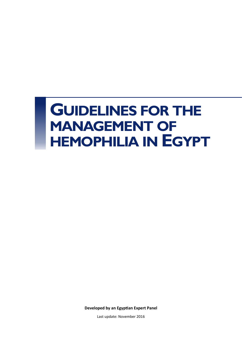# **GUIDELINES FOR THE MANAGEMENT OF HEMOPHILIA IN EGYPT**

**Developed by an Egyptian Expert Panel**

Last update: November 2016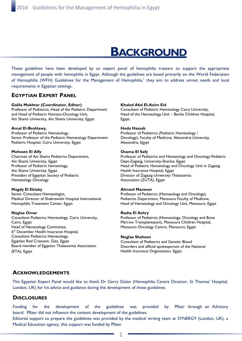## **BACKGROUND**

These guidelines have been developed by an expert panel of hemophilia treaters to support the appropriate management of people with hemophilia in Egypt. Although the guidelines are based primarily on the World Federation of Hemophilia (WFH) Guidelines for the Management of Hemophilia,<sup>1</sup> they aim to address unmet needs and local requirements in Egyptian settings.

### **EGYPTIAN EXPERT PANEL**

#### **Galila Mokhtar (Coordinator, Editor)**

Professor of Pediatrics, Head of the Pediatric Department and Head of Pediatric Hemato-Oncology Unit, Ain Shams University, Ain Shams University, Egypt

#### **Amal El-Beshlawy,**

Professor of Pediatric Hematology, Senior Professor of the Pediatric Hematology Department Pediatric Hospital, Cairo University, Egypt

#### **Mohssen El Alfy**

Chairman of Ain Shams Pediatrics Department, Ain Shams University, Egypt Professor of Pediatric hematology, Ain Shams University, Egypt President of Egyptian Society of Pediatric Hematology Oncology

#### **Magdy El Ekiaby**

Senior Consultant Hematologist, Medical Director of Shabrawishi Hospital International Hemophilia Treatment Center, Egypt

#### **Naglaa Omar**

Consultant Pediatrics Hematology, Cairo University, Cairo, Egypt Head of Hematology Committee, 6<sup>th</sup> December Health Insurance Hospital, Consultant Pediatrics Hematology, Egyptian Red Crescent, Giza, Egypt Board member of Egyptian Thalassemia Association (ETA), Egypt

#### **Khaled Abd El-Azim Eid**

Consultant of Pediatric Hematology Cairo University, Head of the Hematology Unit – Benha Children Hospital, Egypt.

#### **Hoda Hassab**

Professor of Pediatrics (Pediatric Hematology / Oncology), Faculty of Medicine, Alexandria University, Alexandria, Egypt

#### **Osama El Safy**

Professor of Pediatrics and Hematology and Oncology-Pediatric Dept-Zagazig, University-Sharkia, Egypt Head of Pediatric Hematology and Oncology Unit in Zagazig Health Insurance Hospital, Egypt Director of Zagazig University Thalassemia Association (ZUTA), Egypt

#### **Ahmed Mansour**

Professor of Pediatrics (Hematology and Oncology), Pediatrics Department, Mansoura Faculty of Medicine, Head of Hematology and Oncology Unit, Mansoura, Egypt

#### **Rasha El Ashry**

Professor of Pediatrics (Hematology, Oncology and Bone Marrow Transplantation), Mansoura Children Hospital, Mansoura Oncology Centre, Mansoura, Egypt

#### **Naglaa Shaheen**

Consultant of Pediatrics and Genetic Blood Disorders and official spokesperson of the National Health Insurance Organization, Egypt

#### **ACKNOWLEDGEMENTS**

The Egyptian Expert Panel would like to thank Dr Gerry Dolan (Hemophilia Centre Director, St Thomas' Hospital, London, UK) for his advice and guidance during the development of these guidelines.

#### **DISCLOSURES**

Funding for the development of the guidelines was provided by Pfizer through an Advisory board. Pfizer did not influence the content development of the guidelines.

Editorial support to prepare the guidelines was provided by the medical writing team at SYNERGY (London, UK), a Medical Education agency, this support was funded by Pfizer.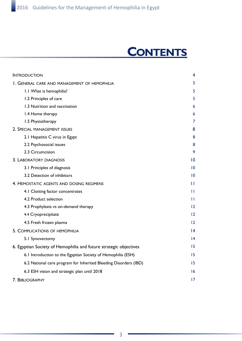# **CONTENTS**

| <b>INTRODUCTION</b>                                               | 4               |
|-------------------------------------------------------------------|-----------------|
| I. GENERAL CARE AND MANAGEMENT OF HEMOPHILIA                      | 5               |
| 1.1 What is hemophilia?                                           | 5               |
| 1.2 Principles of care                                            | 5               |
| 1.3 Nutrition and vaccination                                     | 6               |
| 1.4 Home therapy                                                  | 6               |
| 1.5 Physiotherapy                                                 | 7               |
| 2. SPECIAL MANAGEMENT ISSUES                                      | 8               |
| 2.1 Hepatitis C virus in Egypt                                    | 8               |
| 2.2 Psychosocial issues                                           | 8               |
| 2.3 Circumcision                                                  | 9               |
| 3. LABORATORY DIAGNOSIS                                           | $\overline{10}$ |
| 3.1 Principles of diagnosis                                       | $\overline{10}$ |
| 3.2 Detection of inhibitors                                       | $\overline{10}$ |
| 4. HEMOSTATIC AGENTS AND DOSING REGIMENS                          | Ш               |
| 4.1 Clotting factor concentrates                                  | $\mathbf{H}$    |
| 4.2 Product selection                                             | Ħ               |
| 4.3 Prophylaxis vs on-demand therapy                              | 12              |
| 4.4 Cryoprecipitate                                               | 12              |
| 4.5 Fresh frozen plasma                                           | 12              |
| 5. COMPLICATIONS OF HEMOPHILIA                                    | $\overline{14}$ |
| 5.1 Synovectomy                                                   | $\overline{14}$ |
| 6. Egyptian Society of Hemophilia and future strategic objectives | 15              |
| 6.1 Introduction to the Egyptian Society of Hemophilia (ESH)      | 15              |
| 6.2 National care program for Inherited Bleeding Disorders (IBD)  | 15              |
| 6.3 ESH vision and strategic plan until 2018                      | 16              |
| 7. BIBLIOGRAPHY                                                   | 17              |
|                                                                   |                 |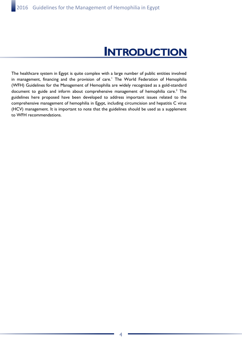# **INTRODUCTION**

The healthcare system in Egypt is quite complex with a large number of public entities involved in management, financing and the provision of care.<sup>1</sup> The World Federation of Hemophilia (WFH) Guidelines for the Management of Hemophilia are widely recognized as a gold-standard document to guide and inform about comprehensive management of hemophilia care.<sup>2</sup> The guidelines here proposed have been developed to address important issues related to the comprehensive management of hemophilia in Egypt, including circumcision and hepatitis C virus (HCV) management. It is important to note that the guidelines should be used as a supplement to WFH recommendations.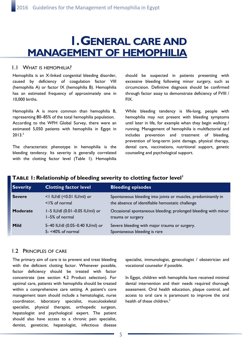# **1. GENERAL CARE AND MANAGEMENT OF HEMOPHILIA**

#### 1.1 WHAT IS HEMOPHILIA?

Hemophilia is an X-linked congenital bleeding disorder, caused by deficiency of coagulation factor VIII (hemophilia A) or factor IX (hemophilia B). Hemophilia has an estimated frequency of approximately one in 10,000 births.

Hemophilia A is more common than hemophilia B, representing 80–85% of the total hemophilia population. According to the WFH Global Survey, there were an estimated 5,050 patients with hemophilia in Egypt in 2013.<sup>2</sup>

The characteristic phenotype in hemophilia is the bleeding tendency. Its severity is generally correlated with the clotting factor level (Table 1). Hemophilia should be suspected in patients presenting with excessive bleeding following minor surgery, such as circumcision. Definitive diagnosis should be confirmed through factor assay to demonstrate deficiency of FVIII / FIX.

While bleeding tendency is life-long, people with hemophilia may not present with bleeding symptoms until later in life, for example when they begin walking / running. Management of hemophilia is multifactorial and includes prevention and treatment of bleeding, prevention of long-term joint damage, physical therapy, dental care, vaccinations, nutritional support, genetic counseling and psychological support.

| <b>Severity</b> | <b>Clotting factor level</b>                                | <b>Bleeding episodes</b>                                                                                          |
|-----------------|-------------------------------------------------------------|-------------------------------------------------------------------------------------------------------------------|
| <b>Severe</b>   | <1 IU/dl (<0.01 IU/ml) or<br>$\leq$ $\frac{1}{6}$ of normal | Spontaneous bleeding into joints or muscles, predominantly in<br>the absence of identifiable hemostatic challenge |
| <b>Moderate</b> | I-5 IU/dl (0.01-0.05 IU/ml) or<br>1-5% of normal            | Occasional spontaneous bleeding; prolonged bleeding with minor<br>trauma or surgery                               |
| Mild            | 5-40 IU/dl (0.05-0.40 IU/ml) or<br>$5 - 40\%$ of normal     | Severe bleeding with major trauma or surgery.<br>Spontaneous bleeding is rare                                     |

### **TABLE 1: Relationship of bleeding severity to clotting factor level<sup>1</sup>**

#### 1.2 PRINCIPLES OF CARE

The primary aim of care is to prevent and treat bleeding with the deficient clotting factor. Whenever possible, factor deficiency should be treated with factor concentrate (see section 4.2 Product selection). For optimal care, patients with hemophilia should be treated within a comprehensive care setting. A patient's core management team should include a hematologist, nurse coordinator, laboratory specialist, musculoskeletal specialist, physical therapist, orthopedic surgeon, hepatologist and psychological expert. The patient should also have access to a chronic pain specialist, dentist, geneticist, hepatologist, infectious disease

specialist, immunologist, gynecologist / obstetrician and vocational counselor if possible.

In Egypt, children with hemophilia have received minimal dental intervention and their needs required thorough assessment. Oral health education, plaque control, and access to oral care is paramount to improve the oral health of these children.<sup>3</sup>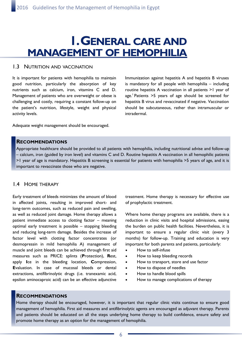# **1. GENERAL CARE AND MANAGEMENT OF HEMOPHILIA**

#### 1.3 NUTRITION AND VACCINATION

It is important for patients with hemophilia to maintain good nutrition, particularly the absorption of key nutrients such as calcium, iron, vitamins C and D. Management of patients who are overweight or obese is challenging and costly, requiring a constant follow-up on the patient's nutrition, lifestyle, weight and physical activity levels.

Immunization against hepatitis A and hepatitis B viruses is mandatory for all people with hemophilia – including routine hepatitis A vaccination in all patients >1 year of age.<sup>1</sup> Patients  $>5$  years of age should be screened for hepatitis B virus and revaccinated if negative. Vaccination should be subcutaneous, rather than intramuscular or intradermal.

Adequate weight management should be encouraged.

#### **RECOMMENDATIONS**

Appropriate healthcare should be provided to all patients with hemophilia, including nutritional advise and follow-up – calcium, iron (guided by iron level) and vitamins C and D. Routine hepatitis A vaccination in all hemophilic patients >1 year of age is mandatory. Hepatitis B screening is essential for patients with hemophilia >5 years of age, and it is important to revaccinate those who are negative.

#### 1.4 HOME THERAPY

Early treatment of bleeds minimizes the amount of blood in affected joints, resulting in improved short- and long-term outcomes, such as reduced pain and swelling, as well as reduced joint damage. Home therapy allows a patient immediate access to clotting factor – meaning optimal early treatment is possible – stopping bleeding and reducing long-term damage. Besides the increase of factor level with clotting factor concentrates (or desmopressin in mild hemophilia A) management of muscle and joint bleeds can be achieved through first aid measures such as PRICE: splints (**P**rotection), **R**est, apply **I**ce in the bleeding location, **C**ompression, **E**valuation. In case of mucosal bleeds or dental extractions, antifibrinolytic drugs (i.e. tranexamic acid, epsilon aminocaproic acid) can be an effective adjunctive

treatment. Home therapy is necessary for effective use of prophylactic treatment.

Where home therapy programs are available, there is a reduction in clinic visits and hospital admissions, easing the burden on public health facilities. Nevertheless, it is important to ensure a regular clinic visit (every 3 months) for follow-up. Training and education is very important for both parents and patients, particularly:

- How to self-infuse
- How to keep bleeding records
- How to transport, store and use factor
- How to dispose of needles
- How to handle blood spills
- How to manage complications of therapy

#### **RECOMMENDATIONS**

Home therapy should be encouraged, however, it is important that regular clinic visits continue to ensure good management of hemophilia. First aid measures and antifibrinolytic agents are encouraged as adjuvant therapy. Parents and patients should be educated on all the steps underlying home therapy to build confidence, ensure safety and promote home therapy as an option for the management of hemophilia.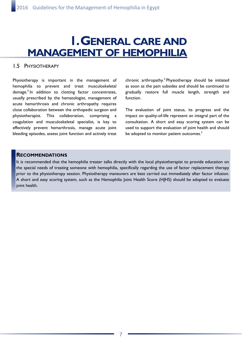# **1. GENERAL CARE AND MANAGEMENT OF HEMOPHILIA**

### 1.5 PHYSIOTHERAPY

Physiotherapy is important in the management of hemophilia to prevent and treat musculoskeletal damage.<sup>4</sup> In addition to clotting factor concentrates, usually prescribed by the hematologist, management of acute hemarthrosis and chronic arthropathy requires close collaboration between the orthopedic surgeon and physiotherapist. This collaboration, comprising a coagulation and musculoskeletal specialist, is key to effectively prevent hemarthrosis, manage acute joint bleeding episodes, assess joint function and actively treat

chronic arthropathy.<sup>5</sup> Physiotherapy should be initiated as soon as the pain subsides and should be continued to gradually restore full muscle length, strength and function.

The evaluation of joint status, its progress and the impact on quality-of-life represent an integral part of the consultation. A short and easy scoring system can be used to support the evaluation of joint health and should be adopted to monitor patient outcomes.<sup>5</sup>

#### **RECOMMENDATIONS**

It is recommended that the hemophilia treater talks directly with the local physiotherapist to provide education on the special needs of treating someone with hemophilia, specifically regarding the use of factor replacement therapy prior to the physiotherapy session. Physiotherapy maneuvers are best carried out immediately after factor infusion. A short and easy scoring system, such as the Hemophilia Joint Health Score (HJHS) should be adopted to evaluate joint health.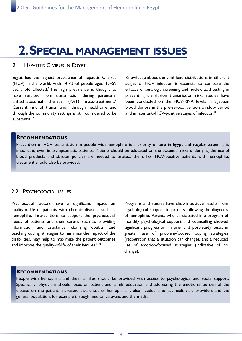# **2. SPECIAL MANAGEMENT ISSUES**

#### 2.1 HEPATITIS C VIRUS IN EGYPT

Egypt has the highest prevalence of hepatitis C virus (HCV) in the world, with 14.7% of people aged 15–59 years old affected.<sup>6</sup>The high prevalence is thought to have resulted from transmission during parenteral antischistosomal therapy (PAT) mass-treatment.<sup>7</sup> Current risk of transmission through healthcare and through the community settings is still considered to be substantial<sup>7</sup>

Knowledge about the viral load distributions in different stages of HCV infection is essential to compare the efficacy of serologic screening and nucleic acid testing in preventing transfusion transmission risk. Studies have been conducted on the HCV-RNA levels in Egyptian blood donors in the pre-seroconversion window period and in later anti-HCV-positive stages of infection.<sup>8</sup>

#### **RECOMMENDATIONS**

Prevention of HCV transmission in people with hemophilia is a priority of care in Egypt and regular screening is important, even in asymptomatic patients. Patients should be educated on the potential risks underlying the use of blood products and stricter policies are needed to protect them. For HCV-positive patients with hemophilia, treatment should also be provided.

### 2.2 PSYCHOSOCIAL ISSUES

Psychosocial factors have a significant impact on quality-of-life of patients with chronic diseases such as hemophilia. Interventions to support the psychosocial needs of patients and their carers, such as providing information and assistance, clarifying doubts, and teaching coping strategies to minimize the impact of the disabilities, may help to maximize the patient outcomes and improve the quality-of-life of their families.<sup>9,10</sup>

Programs and studies have shown positive results from psychological support to parents following the diagnosis of hemophilia. Parents who participated in a program of monthly psychological support and counselling showed significant progression, in pre- and post-study tests, in greater use of problem-focused coping strategies (recognition that a situation can change), and a reduced use of emotion-focused strategies (indicative of no  $change)$ .<sup>11</sup>

#### **RECOMMENDATIONS**

People with hemophilia and their families should be provided with access to psychological and social support. Specifically, physicians should focus on patient and family education and addressing the emotional burden of the disease on the patient. Increased awareness of hemophilia is also needed amongst healthcare providers and the general population, for example through medical caravans and the media.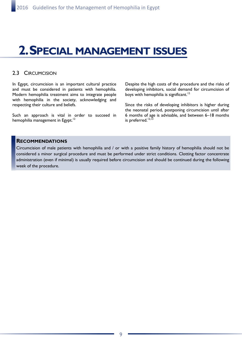# **2. SPECIAL MANAGEMENT ISSUES**

#### 2.3 CIRCUMCISION

In Egypt, circumcision is an important cultural practice and must be considered in patients with hemophilia. Modern hemophilia treatment aims to integrate people with hemophilia in the society, acknowledging and respecting their culture and beliefs.

Such an approach is vital in order to succeed in hemophilia management in Egypt.<sup>12</sup>

Despite the high costs of the procedure and the risks of developing inhibitors, social demand for circumcision of boys with hemophilia is significant.<sup>12</sup>

Since the risks of developing inhibitors is higher during the neonatal period, postponing circumcision until after 6 months of age is advisable, and between 6–18 months is preferred.<sup>12,13</sup>

#### **RECOMMENDATIONS**

Circumcision of male patients with hemophilia and / or with a positive family history of hemophilia should not be considered a minor surgical procedure and must be performed under strict conditions. Clotting factor concentrate administration (even if minimal) is usually required before circumcision and should be continued during the following week of the procedure.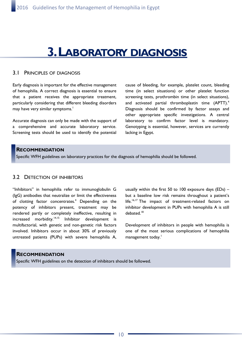# **3. LABORATORY DIAGNOSIS**

#### 3.1 PRINCIPLES OF DIAGNOSIS

Early diagnosis is important for the effective management of hemophilia. A correct diagnosis is essential to ensure that a patient receives the appropriate treatment, particularly considering that different bleeding disorders may have very similar symptoms.<sup>1</sup>

Accurate diagnosis can only be made with the support of a comprehensive and accurate laboratory service. Screening tests should be used to identify the potential cause of bleeding, for example, platelet count, bleeding time (in select situations) or other platelet function screening tests, prothrombin time (in select situations), and activated partial thromboplastin time (APTT).<sup>4</sup> Diagnosis should be confirmed by factor assays and other appropriate specific investigations. A central laboratory to confirm factor level is mandatory. Genotyping is essential, however, services are currently lacking in Egypt.

### **RECOMMENDATION**

Specific WFH guidelines on laboratory practices for the diagnosis of hemophilia should be followed.

### 3.2 DETECTION OF INHIBITORS

"Inhibitors" in hemophilia refer to immunoglobulin G (IgG) antibodies that neutralize or limit the effectiveness of clotting factor concentrates.<sup>4</sup> Depending on the potency of inhibitors present, treatment may be rendered partly or completely ineffective, resulting in increased morbidity.<sup>14,15</sup> Inhibitor development is multifactorial, with genetic and non-genetic risk factors involved. Inhibitors occur in about 30% of previously untreated patients (PUPs) with severe hemophilia A, usually within the first 50 to 100 exposure days  $(EDs)$  – but a baseline low risk remains throughout a patient's life.<sup>16,17</sup> The impact of treatment-related factors on inhibitor development in PUPs with hemophilia A is still debated.<sup>18</sup>

Development of inhibitors in people with hemophilia is one of the most serious complications of hemophilia management today.<sup>1</sup>

#### **RECOMMENDATION**

Specific WFH guidelines on the detection of inhibitors should be followed.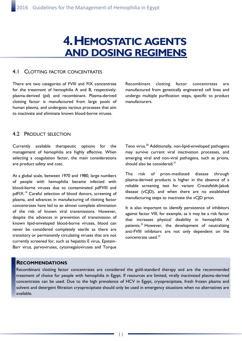# **4. HEMOSTATIC AGENTS AND DOSING REGIMENS**

#### 4.1 CLOTTING FACTOR CONCENTRATES

There are two categories of FVIII and FIX concentrate for the treatment of hemophilia A and B, respectively: plasma-derived (pd) and recombinant. Plasma-derived clotting factor is manufactured from large pools of human plasma, and undergoes various processes that aim to inactivate and eliminate known blood-borne viruses.

Recombinant clotting factor concentrates are manufactured from genetically engineered cell lines and undergo multiple purification steps, specific to product manufacturers.

### 4.2 PRODUCT SELECTION

Currently available therapeutic options for the management of hemophilia are highly effective. When selecting a coagulation factor, the main considerations are product safety and cost.

At a global scale, between 1970 and 1980, large numbers of people with hemophilia became infected with blood-borne viruses due to contaminated pdFVIII and pdFIX.<sup>19</sup> Careful selection of blood donors, screening of plasma, and advances in manufacturing of clotting factor concentrates have led to an almost complete elimination of the risk of known viral transmissions. However, despite the advances in prevention of transmission of known lipid-enveloped blood-borne viruses, blood can never be considered completely sterile as there are transitory or permanently circulating viruses that are not currently screened for, such as hepatitis E virus, Epstein-Barr virus, parvoviruses, cytomegaloviruses and Torque Teno virus.<sup>20</sup> Additionally, non-lipid-enveloped pathogens may survive current viral inactivation processes, and emerging viral and non-viral pathogens, such as prions, should also be considered. $21$ 

The risk of prion-mediated disease through plasma-derived products is higher in the absence of a reliable screening test for variant Creutzfeldt-Jakob disease (vCJD), and when there are no established manufacturing steps to inactivate the vCJD prion.

It is also important to identify persistence of inhibitors against factor VIII, for example, as it may be a risk factor that increases physical disability in hemophilia A patients.<sup>22</sup> However, the development of neutralizing anti-FVIII inhibitors are not only dependent on the concentrate used.<sup>23</sup>

#### **RECOMMENDATIONS**

Recombinant clotting factor concentrates are considered the gold-standard therapy and are the recommended treatment of choice for people with hemophilia in Egypt. If resources are limited, virally inactivated plasma-derived concentrates can be used. Due to the high prevalence of HCV in Egypt, cryoprecipitate, fresh frozen plasma and solvent and detergent filtration cryoprecipitate should only be used in emergency situations when no alternatives are available.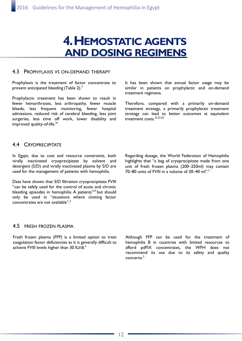# **4. HEMOSTATIC AGENTS AND DOSING REGIMENS**

#### 4.3 PROPHYLAXIS VS ON-DEMAND THERAPY

Prophylaxis is the treatment of factor concentrate to prevent anticipated bleeding (Table 2).<sup>4</sup>

Prophylactic treatment has been shown to result in fewer hemarthroses, less arthropathy, fewer muscle bleeds, less frequent monitoring, fewer hospital admissions, reduced risk of cerebral bleeding, less joint surgeries, less time off work, lower disability and improved quality-of-life. $24$ 

It has been shown that annual factor usage may be similar in patients on prophylactic and on-demand treatment regimens.

Therefore, compared with a primarily on-demand treatment strategy, a primarily prophylactic treatment strategy can lead to better outcomes at equivalent treatment costs.<sup>23,25,26</sup>

#### 4.4 CRYOPRECIPITATE

In Egypt, due to cost and resource constraints, both virally inactivated cryoprecipitate by solvent and detergent (S/D) and virally inactivated plasma by S/D are used for the management of patients with hemophilia.

Data have shown that S/D filtration cryoprecipitate FVIII "can be safely used for the control of acute and chronic bleeding episodes in hemophilia A patients"<sup>27</sup> but should only be used in "situations where clotting factor concentrates are not available".<sup>2</sup>

4.5 FRESH FROZEN PLASMA

Fresh frozen plasma (FFP) is a limited option to treat coagulation factor deficiencies as it is generally difficult to achieve FVIII levels higher than 30 IU/dl.<sup>2</sup>

Regarding dosage, the World Federation of Hemophilia highlights that "a bag of cryoprecipitate made from one unit of fresh frozen plasma (200–250ml) may contain 70–80 units of FVIII in a volume of 30–40 ml".<sup>2</sup>

Although FFP can be used for the treatment of hemophilia B in countries with limited resources to afford pdFIX concentrates, the WFH does not recommend its use due to its safety and quality concerns.2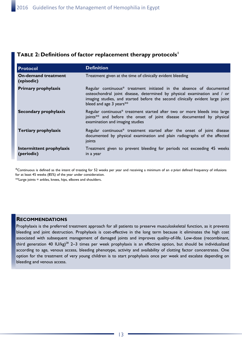### **TABLE 2: Definitions of factor replacement therapy protocols<sup>1</sup>**

| <b>Protocol</b>                          | <b>Definition</b>                                                                                                                                                                                                                                            |
|------------------------------------------|--------------------------------------------------------------------------------------------------------------------------------------------------------------------------------------------------------------------------------------------------------------|
| <b>On-demand treatment</b><br>(episodic) | Treatment given at the time of clinically evident bleeding                                                                                                                                                                                                   |
| <b>Primary prophylaxis</b>               | Regular continuous* treatment initiated in the absence of documented<br>osteochondral joint disease, determined by physical examination and / or<br>imaging studies, and started before the second clinically evident large joint<br>bleed and age 3 years** |
| Secondary prophylaxis                    | Regular continuous* treatment started after two or more bleeds into large<br>joints <sup>**</sup> and before the onset of joint disease documented by physical<br>examination and imaging studies                                                            |
| <b>Tertiary prophylaxis</b>              | Regular continuous* treatment started after the onset of joint disease<br>documented by physical examination and plain radiographs of the affected<br>joints                                                                                                 |
| Intermittent prophylaxis<br>(periodic)   | Treatment given to prevent bleeding for periods not exceeding 45 weeks<br>in a year                                                                                                                                                                          |

\*Continuous is defined as the intent of treating for 52 weeks per year and receiving a minimum of an *a priori* defined frequency of infusions for at least 45 weeks (85%) of the year under consideration.

\*\*Large joints = ankles, knees, hips, elbows and shoulders.

### **RECOMMENDATIONS**

Prophylaxis is the preferred treatment approach for all patients to preserve musculoskeletal function, as it prevents bleeding and joint destruction. Prophylaxis is cost-effective in the long term because it eliminates the high cost associated with subsequent management of damaged joints and improves quality-of-life. Low-dose (recombinant, third generation 40 IU/kg)<sup>28</sup> 2–3 times per week prophylaxis is an effective option, but should be individualized according to age, venous access, bleeding phenotype, activity and availability of clotting factor concentrates. One option for the treatment of very young children is to start prophylaxis once per week and escalate depending on bleeding and venous access.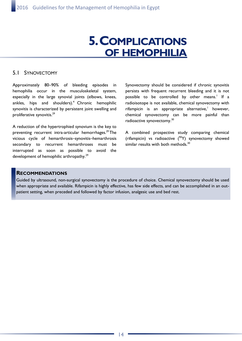# **5. COMPLICATIONS OF HEMOPHILIA**

### 5.1 SYNOVECTOMY

Approximately 80–90% of bleeding episodes in hemophilia occur in the musculoskeletal system, especially in the large synovial joints (elbows, knees, ankles, hips and shoulders).<sup>4</sup> Chronic hemophilic synovitis is characterized by persistent joint swelling and proliferative synovitis.<sup>29</sup>

A reduction of the hypertrophied synovium is the key to preventing recurrent intra-articular hemorrhages.<sup>29</sup> The vicious cycle of hemarthrosis–synovitis–hemarthrosis secondary to recurrent hemarthroses must be interrupted as soon as possible to avoid the development of hemophilic arthropathy.<sup>29</sup>

Synovectomy should be considered if chronic synovitis persists with frequent recurrent bleeding and it is not possible to be controlled by other means.<sup>1</sup> If a radioisotope is not available, chemical synovectomy with rifampicin is an appropriate alternative,<sup>1</sup> however, chemical synovectomy can be more painful than radioactive synovectomy.<sup>30</sup>

A combined prospective study comparing chemical (rifampicin) vs radioactive  $(^{90}\text{Y})$  synovectomy showed similar results with both methods.<sup>30</sup>

### **RECOMMENDATIONS**

Guided by ultrasound, non-surgical synovectomy is the procedure of choice. Chemical synovectomy should be used when appropriate and available. Rifampicin is highly effective, has few side effects, and can be accomplished in an outpatient setting, when preceded and followed by factor infusion, analgesic use and bed rest.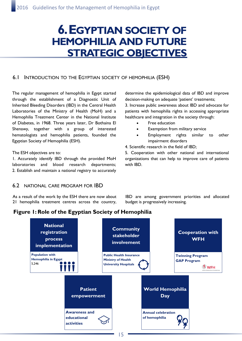## **6. EGYPTIAN SOCIETY OF HEMOPHILIA AND FUTURE STRATEGIC OBJECTIVES**

### 6.1 INTRODUCTION TO THE EGYPTIAN SOCIETY OF HEMOPHILIA (ESH)

The regular management of hemophilia in Egypt started through the establishment of a Diagnostic Unit of Inherited Bleeding Disorders (IBD) in the Central Health Laboratories of the Ministry of Health (MoH) and a Hemophilia Treatment Center in the National Institute of Diabetes, in 1968. Three years later, Dr Bothaina El Shenawy, together with a group of interested hematologists and hemophilia patients, founded the Egyptian Society of Hemophilia (ESH).

#### The ESH objectives are to:

1. Accurately identify IBD through the provided MoH laboratories and blood research departments; 2. Establish and maintain a national registry to accurately determine the epidemiological data of IBD and improve decision-making on adequate 'patient' treatments; 3. Increase public awareness about IBD and advocate for patients with hemophilia rights in accessing appropriate healthcare and integration in the society through:

- Free education
- Exemption from military service
- Employment rights similar to other impairment disorders
- 4. Scientific research in the field of IBD;

5. Cooperation with other national and international organizations that can help to improve care of patients with IBD.

#### 6.2 NATIONAL CARE PROGRAM FOR IBD

As a result of the work by the ESH there are now about 21 hemophilia treatment centres across the country, IBD are among government priorities and allocated budget is progressively increasing.

### **Figure 1: Role of the Egyptian Society of Hemophilia**

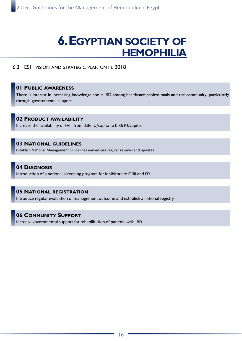# **6. EGYPTIAN SOCIETY OF HEMOPHILIA**

### 6.3 ESH VISION AND STRATEGIC PLAN UNTIL 2018

#### **01 PUBLIC AWARENESS**

There is interest in increasing knowledge about IBD among healthcare professionals and the community, particularly through governmental support

### **02 PRODUCT AVAILABILITY** Increase the availability of FVIII from 0.36 IU/capita to 0.86 IU/capita

#### **03 NATIONAL GUIDELINES**

Establish National Management Guidelines and ensure regular reviews and updates

### **04 DIAGNOSIS**

Introduction of a national screening program for inhibitors to FVIII and FIX

### **05 NATIONAL REGISTRATION**

Introduce regular evaluation of management outcome and establish a national registry

#### **06 COMMUNITY SUPPORT**

Increase governmental support for rehabilitation of patients with IBD